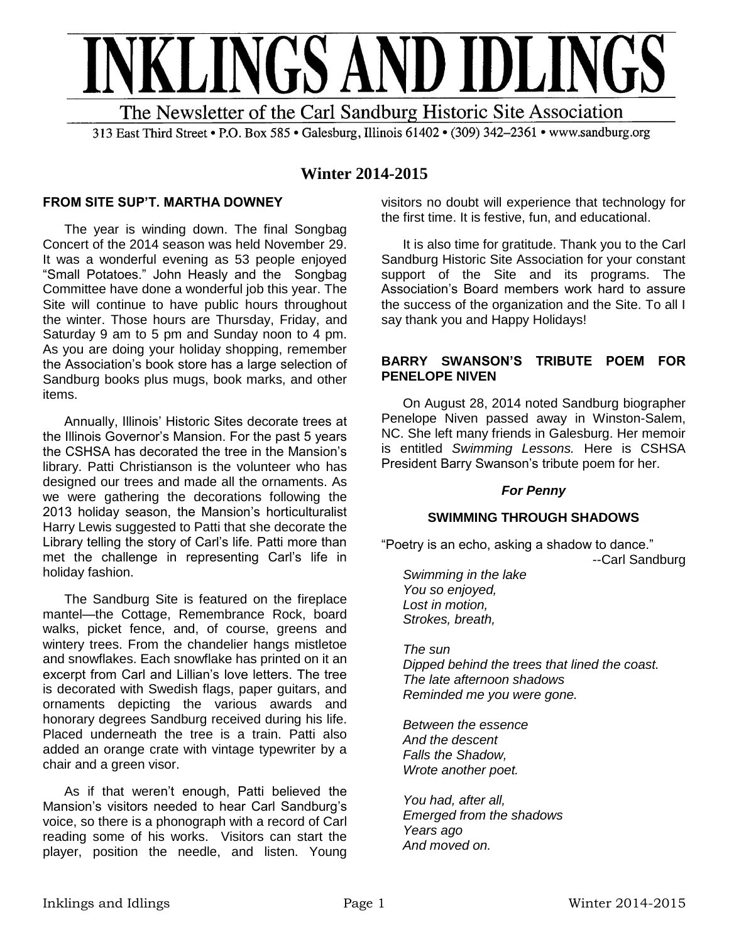

313 East Third Street • P.O. Box 585 • Galesburg, Illinois 61402 • (309) 342–2361 • www.sandburg.org

# **Winter 2014-2015**

# **FROM SITE SUP'T. MARTHA DOWNEY**

The year is winding down. The final Songbag Concert of the 2014 season was held November 29. It was a wonderful evening as 53 people enjoyed "Small Potatoes." John Heasly and the Songbag Committee have done a wonderful job this year. The Site will continue to have public hours throughout the winter. Those hours are Thursday, Friday, and Saturday 9 am to 5 pm and Sunday noon to 4 pm. As you are doing your holiday shopping, remember the Association's book store has a large selection of Sandburg books plus mugs, book marks, and other items.

Annually, Illinois' Historic Sites decorate trees at the Illinois Governor's Mansion. For the past 5 years the CSHSA has decorated the tree in the Mansion's library. Patti Christianson is the volunteer who has designed our trees and made all the ornaments. As we were gathering the decorations following the 2013 holiday season, the Mansion's horticulturalist Harry Lewis suggested to Patti that she decorate the Library telling the story of Carl's life. Patti more than met the challenge in representing Carl's life in holiday fashion.

The Sandburg Site is featured on the fireplace mantel—the Cottage, Remembrance Rock, board walks, picket fence, and, of course, greens and wintery trees. From the chandelier hangs mistletoe and snowflakes. Each snowflake has printed on it an excerpt from Carl and Lillian's love letters. The tree is decorated with Swedish flags, paper guitars, and ornaments depicting the various awards and honorary degrees Sandburg received during his life. Placed underneath the tree is a train. Patti also added an orange crate with vintage typewriter by a chair and a green visor.

As if that weren't enough, Patti believed the Mansion's visitors needed to hear Carl Sandburg's voice, so there is a phonograph with a record of Carl reading some of his works. Visitors can start the player, position the needle, and listen. Young visitors no doubt will experience that technology for the first time. It is festive, fun, and educational.

It is also time for gratitude. Thank you to the Carl Sandburg Historic Site Association for your constant support of the Site and its programs. The Association's Board members work hard to assure the success of the organization and the Site. To all I say thank you and Happy Holidays!

### **BARRY SWANSON'S TRIBUTE POEM FOR PENELOPE NIVEN**

On August 28, 2014 noted Sandburg biographer Penelope Niven passed away in Winston-Salem, NC. She left many friends in Galesburg. Her memoir is entitled *Swimming Lessons.* Here is CSHSA President Barry Swanson's tribute poem for her.

# *For Penny*

### **SWIMMING THROUGH SHADOWS**

"Poetry is an echo, asking a shadow to dance." --Carl Sandburg

*Swimming in the lake You so enjoyed, Lost in motion, Strokes, breath,*

*The sun Dipped behind the trees that lined the coast. The late afternoon shadows Reminded me you were gone.*

*Between the essence And the descent Falls the Shadow, Wrote another poet.*

*You had, after all, Emerged from the shadows Years ago And moved on.*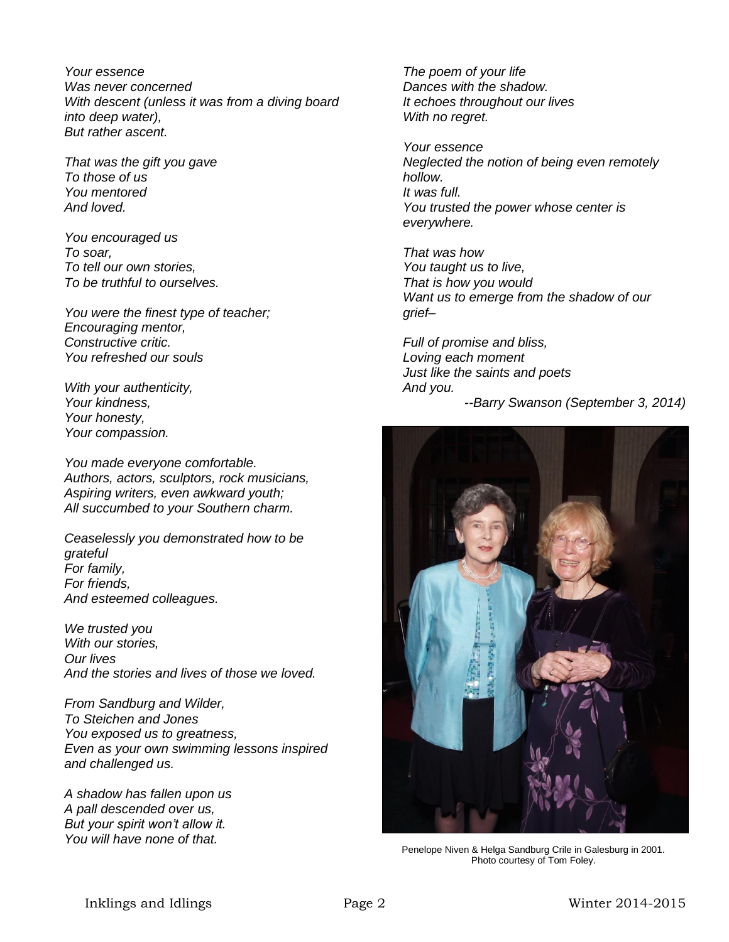*Your essence Was never concerned With descent (unless it was from a diving board into deep water), But rather ascent.*

*That was the gift you gave To those of us You mentored And loved.*

*You encouraged us To soar, To tell our own stories, To be truthful to ourselves.*

*You were the finest type of teacher; Encouraging mentor, Constructive critic. You refreshed our souls*

*With your authenticity, Your kindness, Your honesty, Your compassion.*

*You made everyone comfortable. Authors, actors, sculptors, rock musicians, Aspiring writers, even awkward youth; All succumbed to your Southern charm.*

*Ceaselessly you demonstrated how to be grateful For family, For friends, And esteemed colleagues.*

*We trusted you With our stories, Our lives And the stories and lives of those we loved.*

*From Sandburg and Wilder, To Steichen and Jones You exposed us to greatness, Even as your own swimming lessons inspired and challenged us.*

*A shadow has fallen upon us A pall descended over us, But your spirit won't allow it. You will have none of that.*

*The poem of your life Dances with the shadow. It echoes throughout our lives With no regret.*

*Your essence Neglected the notion of being even remotely hollow. It was full. You trusted the power whose center is everywhere.*

*That was how You taught us to live, That is how you would Want us to emerge from the shadow of our grief–*

*Full of promise and bliss, Loving each moment Just like the saints and poets And you.*

*--Barry Swanson (September 3, 2014)*



Penelope Niven & Helga Sandburg Crile in Galesburg in 2001. Photo courtesy of Tom Foley.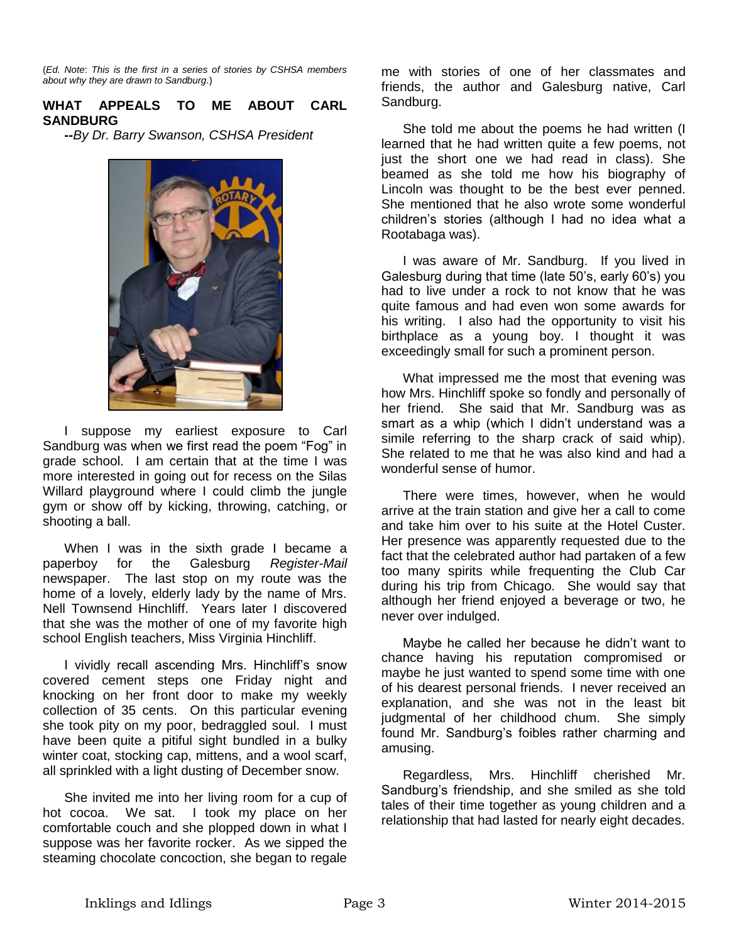(*Ed. Note*: *This is the first in a series of stories by CSHSA members about why they are drawn to Sandburg*.)

# **WHAT APPEALS TO ME ABOUT CARL SANDBURG**

**--***By Dr. Barry Swanson, CSHSA President*



I suppose my earliest exposure to Carl Sandburg was when we first read the poem "Fog" in grade school. I am certain that at the time I was more interested in going out for recess on the Silas Willard playground where I could climb the jungle gym or show off by kicking, throwing, catching, or shooting a ball.

When I was in the sixth grade I became a paperboy for the Galesburg *Register-Mail* newspaper. The last stop on my route was the home of a lovely, elderly lady by the name of Mrs. Nell Townsend Hinchliff. Years later I discovered that she was the mother of one of my favorite high school English teachers, Miss Virginia Hinchliff.

I vividly recall ascending Mrs. Hinchliff's snow covered cement steps one Friday night and knocking on her front door to make my weekly collection of 35 cents. On this particular evening she took pity on my poor, bedraggled soul. I must have been quite a pitiful sight bundled in a bulky winter coat, stocking cap, mittens, and a wool scarf, all sprinkled with a light dusting of December snow.

She invited me into her living room for a cup of hot cocoa. We sat. I took my place on her comfortable couch and she plopped down in what I suppose was her favorite rocker. As we sipped the steaming chocolate concoction, she began to regale

me with stories of one of her classmates and friends, the author and Galesburg native, Carl Sandburg.

She told me about the poems he had written (I learned that he had written quite a few poems, not just the short one we had read in class). She beamed as she told me how his biography of Lincoln was thought to be the best ever penned. She mentioned that he also wrote some wonderful children's stories (although I had no idea what a Rootabaga was).

I was aware of Mr. Sandburg. If you lived in Galesburg during that time (late 50's, early 60's) you had to live under a rock to not know that he was quite famous and had even won some awards for his writing. I also had the opportunity to visit his birthplace as a young boy. I thought it was exceedingly small for such a prominent person.

What impressed me the most that evening was how Mrs. Hinchliff spoke so fondly and personally of her friend. She said that Mr. Sandburg was as smart as a whip (which I didn't understand was a simile referring to the sharp crack of said whip). She related to me that he was also kind and had a wonderful sense of humor.

There were times, however, when he would arrive at the train station and give her a call to come and take him over to his suite at the Hotel Custer. Her presence was apparently requested due to the fact that the celebrated author had partaken of a few too many spirits while frequenting the Club Car during his trip from Chicago. She would say that although her friend enjoyed a beverage or two, he never over indulged.

Maybe he called her because he didn't want to chance having his reputation compromised or maybe he just wanted to spend some time with one of his dearest personal friends. I never received an explanation, and she was not in the least bit judgmental of her childhood chum. She simply found Mr. Sandburg's foibles rather charming and amusing.

Regardless, Mrs. Hinchliff cherished Mr. Sandburg's friendship, and she smiled as she told tales of their time together as young children and a relationship that had lasted for nearly eight decades.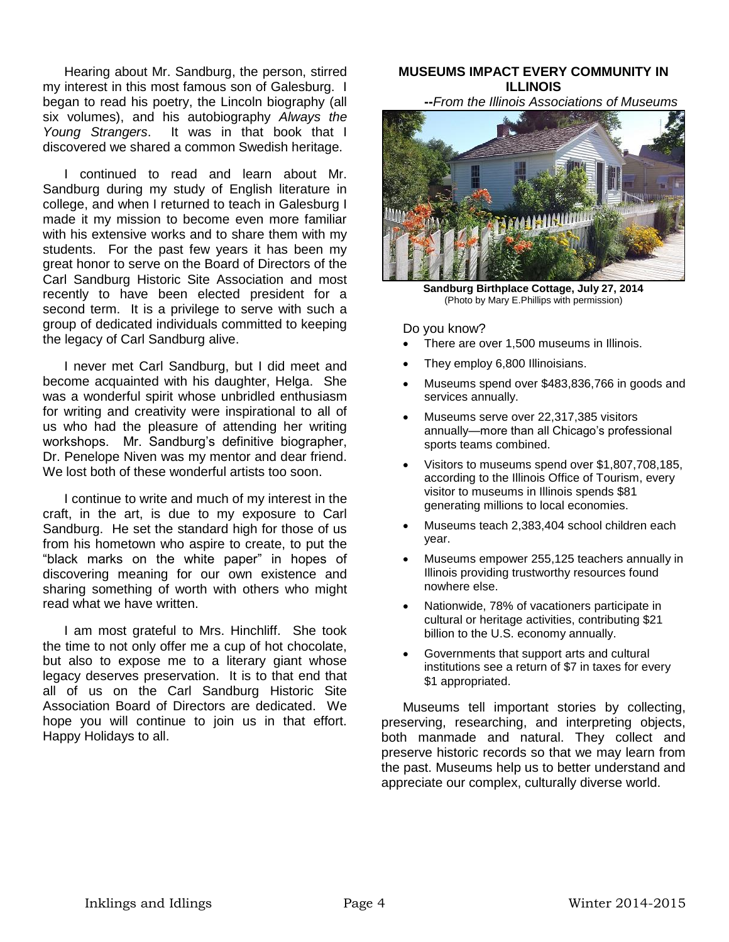Hearing about Mr. Sandburg, the person, stirred my interest in this most famous son of Galesburg. I began to read his poetry, the Lincoln biography (all six volumes), and his autobiography *Always the Young Strangers*. It was in that book that I discovered we shared a common Swedish heritage.

I continued to read and learn about Mr. Sandburg during my study of English literature in college, and when I returned to teach in Galesburg I made it my mission to become even more familiar with his extensive works and to share them with my students. For the past few years it has been my great honor to serve on the Board of Directors of the Carl Sandburg Historic Site Association and most recently to have been elected president for a second term. It is a privilege to serve with such a group of dedicated individuals committed to keeping the legacy of Carl Sandburg alive.

I never met Carl Sandburg, but I did meet and become acquainted with his daughter, Helga. She was a wonderful spirit whose unbridled enthusiasm for writing and creativity were inspirational to all of us who had the pleasure of attending her writing workshops. Mr. Sandburg's definitive biographer, Dr. Penelope Niven was my mentor and dear friend. We lost both of these wonderful artists too soon.

I continue to write and much of my interest in the craft, in the art, is due to my exposure to Carl Sandburg. He set the standard high for those of us from his hometown who aspire to create, to put the "black marks on the white paper" in hopes of discovering meaning for our own existence and sharing something of worth with others who might read what we have written.

I am most grateful to Mrs. Hinchliff. She took the time to not only offer me a cup of hot chocolate, but also to expose me to a literary giant whose legacy deserves preservation. It is to that end that all of us on the Carl Sandburg Historic Site Association Board of Directors are dedicated. We hope you will continue to join us in that effort. Happy Holidays to all.

# **MUSEUMS IMPACT EVERY COMMUNITY IN ILLINOIS**

**--***From the Illinois Associations of Museums*



**Sandburg Birthplace Cottage, July 27, 2014**  (Photo by Mary E.Phillips with permission)

Do you know?

- There are over 1,500 museums in Illinois.
- They employ 6,800 Illinoisians.
- Museums spend over \$483,836,766 in goods and services annually.
- Museums serve over 22,317,385 visitors annually—more than all Chicago's professional sports teams combined.
- Visitors to museums spend over \$1,807,708,185, according to the Illinois Office of Tourism, every visitor to museums in Illinois spends \$81 generating millions to local economies.
- Museums teach 2,383,404 school children each year.
- Museums empower 255,125 teachers annually in Illinois providing trustworthy resources found nowhere else.
- Nationwide, 78% of vacationers participate in cultural or heritage activities, contributing \$21 billion to the U.S. economy annually.
- Governments that support arts and cultural institutions see a return of \$7 in taxes for every \$1 appropriated.

Museums tell important stories by collecting, preserving, researching, and interpreting objects, both manmade and natural. They collect and preserve historic records so that we may learn from the past. Museums help us to better understand and appreciate our complex, culturally diverse world.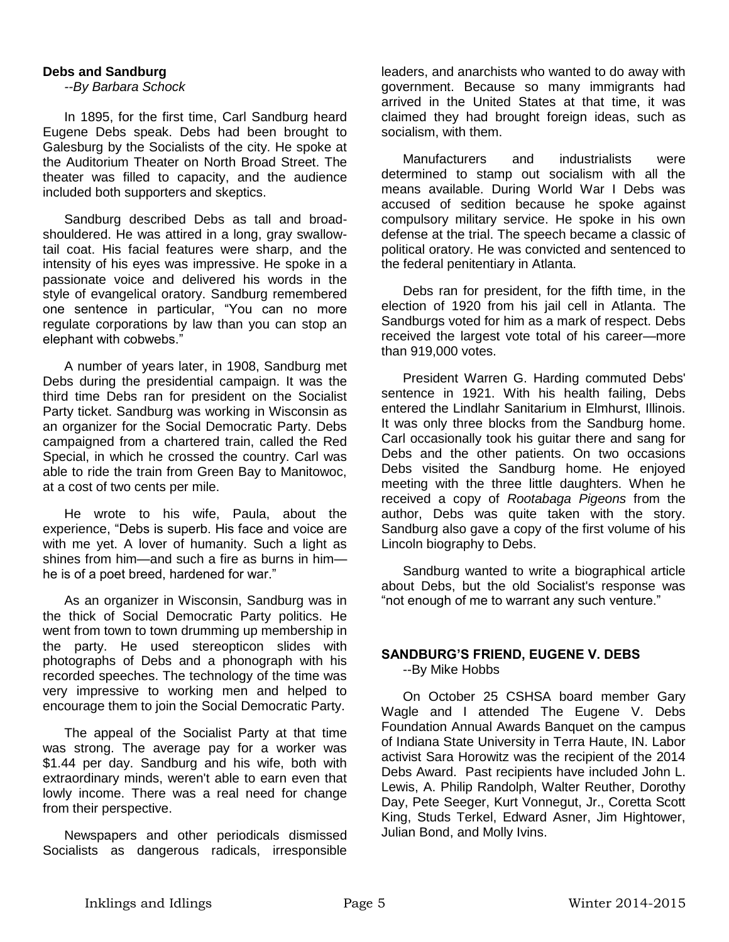### **Debs and Sandburg**

*--By Barbara Schock*

In 1895, for the first time, Carl Sandburg heard Eugene Debs speak. Debs had been brought to Galesburg by the Socialists of the city. He spoke at the Auditorium Theater on North Broad Street. The theater was filled to capacity, and the audience included both supporters and skeptics.

Sandburg described Debs as tall and broadshouldered. He was attired in a long, gray swallowtail coat. His facial features were sharp, and the intensity of his eyes was impressive. He spoke in a passionate voice and delivered his words in the style of evangelical oratory. Sandburg remembered one sentence in particular, "You can no more regulate corporations by law than you can stop an elephant with cobwebs."

A number of years later, in 1908, Sandburg met Debs during the presidential campaign. It was the third time Debs ran for president on the Socialist Party ticket. Sandburg was working in Wisconsin as an organizer for the Social Democratic Party. Debs campaigned from a chartered train, called the Red Special, in which he crossed the country. Carl was able to ride the train from Green Bay to Manitowoc, at a cost of two cents per mile.

He wrote to his wife, Paula, about the experience, "Debs is superb. His face and voice are with me yet. A lover of humanity. Such a light as shines from him—and such a fire as burns in him he is of a poet breed, hardened for war."

As an organizer in Wisconsin, Sandburg was in the thick of Social Democratic Party politics. He went from town to town drumming up membership in the party. He used stereopticon slides with photographs of Debs and a phonograph with his recorded speeches. The technology of the time was very impressive to working men and helped to encourage them to join the Social Democratic Party.

The appeal of the Socialist Party at that time was strong. The average pay for a worker was \$1.44 per day. Sandburg and his wife, both with extraordinary minds, weren't able to earn even that lowly income. There was a real need for change from their perspective.

Newspapers and other periodicals dismissed Socialists as dangerous radicals, irresponsible

leaders, and anarchists who wanted to do away with government. Because so many immigrants had arrived in the United States at that time, it was claimed they had brought foreign ideas, such as socialism, with them.

Manufacturers and industrialists were determined to stamp out socialism with all the means available. During World War I Debs was accused of sedition because he spoke against compulsory military service. He spoke in his own defense at the trial. The speech became a classic of political oratory. He was convicted and sentenced to the federal penitentiary in Atlanta.

Debs ran for president, for the fifth time, in the election of 1920 from his jail cell in Atlanta. The Sandburgs voted for him as a mark of respect. Debs received the largest vote total of his career—more than 919,000 votes.

President Warren G. Harding commuted Debs' sentence in 1921. With his health failing, Debs entered the Lindlahr Sanitarium in Elmhurst, Illinois. It was only three blocks from the Sandburg home. Carl occasionally took his guitar there and sang for Debs and the other patients. On two occasions Debs visited the Sandburg home. He enjoyed meeting with the three little daughters. When he received a copy of *Rootabaga Pigeons* from the author, Debs was quite taken with the story. Sandburg also gave a copy of the first volume of his Lincoln biography to Debs.

Sandburg wanted to write a biographical article about Debs, but the old Socialist's response was "not enough of me to warrant any such venture."

### **SANDBURG'S FRIEND, EUGENE V. DEBS** --By Mike Hobbs

On October 25 CSHSA board member Gary Wagle and I attended The Eugene V. Debs Foundation Annual Awards Banquet on the campus of Indiana State University in Terra Haute, IN. Labor activist Sara Horowitz was the recipient of the 2014 Debs Award. Past recipients have included John L. Lewis, A. Philip Randolph, Walter Reuther, Dorothy Day, Pete Seeger, Kurt Vonnegut, Jr., Coretta Scott King, Studs Terkel, Edward Asner, Jim Hightower, Julian Bond, and Molly Ivins.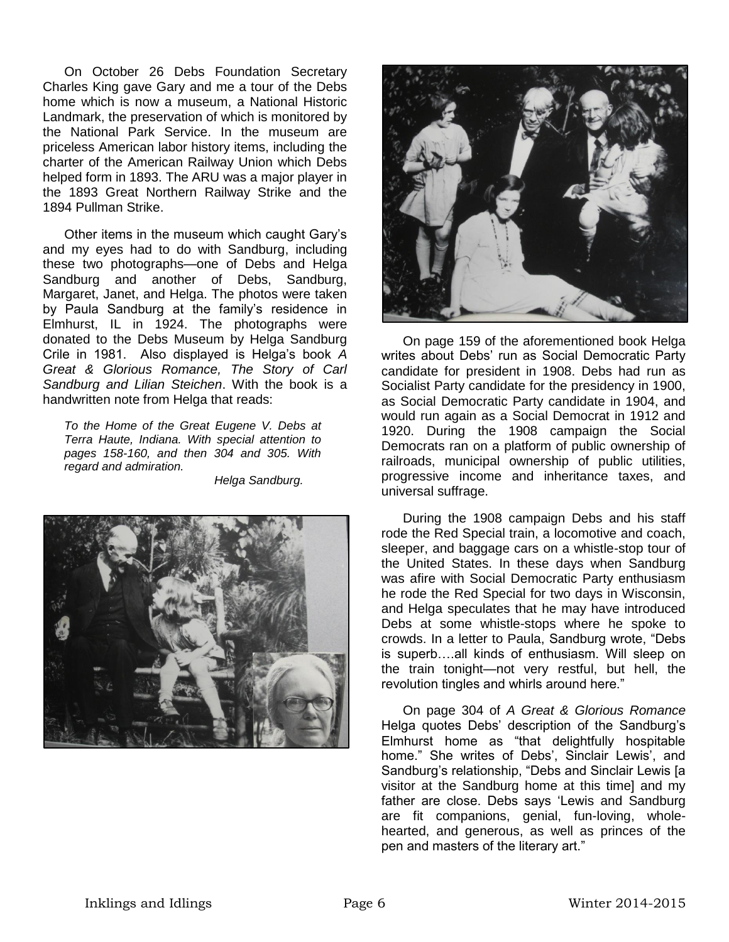On October 26 Debs Foundation Secretary Charles King gave Gary and me a tour of the Debs home which is now a museum, a National Historic Landmark, the preservation of which is monitored by the National Park Service. In the museum are priceless American labor history items, including the charter of the American Railway Union which Debs helped form in 1893. The ARU was a major player in the 1893 Great Northern Railway Strike and the 1894 Pullman Strike.

Other items in the museum which caught Gary's and my eyes had to do with Sandburg, including these two photographs—one of Debs and Helga Sandburg and another of Debs, Sandburg, Margaret, Janet, and Helga. The photos were taken by Paula Sandburg at the family's residence in Elmhurst, IL in 1924. The photographs were donated to the Debs Museum by Helga Sandburg Crile in 1981. Also displayed is Helga's book *A Great & Glorious Romance, The Story of Carl Sandburg and Lilian Steichen*. With the book is a handwritten note from Helga that reads:

*To the Home of the Great Eugene V. Debs at Terra Haute, Indiana. With special attention to pages 158-160, and then 304 and 305. With regard and admiration.* 

*Helga Sandburg.*





On page 159 of the aforementioned book Helga writes about Debs' run as Social Democratic Party candidate for president in 1908. Debs had run as Socialist Party candidate for the presidency in 1900, as Social Democratic Party candidate in 1904, and would run again as a Social Democrat in 1912 and 1920. During the 1908 campaign the Social Democrats ran on a platform of public ownership of railroads, municipal ownership of public utilities, progressive income and inheritance taxes, and universal suffrage.

During the 1908 campaign Debs and his staff rode the Red Special train, a locomotive and coach, sleeper, and baggage cars on a whistle-stop tour of the United States. In these days when Sandburg was afire with Social Democratic Party enthusiasm he rode the Red Special for two days in Wisconsin, and Helga speculates that he may have introduced Debs at some whistle-stops where he spoke to crowds. In a letter to Paula, Sandburg wrote, "Debs is superb….all kinds of enthusiasm. Will sleep on the train tonight—not very restful, but hell, the revolution tingles and whirls around here."

On page 304 of *A Great & Glorious Romance* Helga quotes Debs' description of the Sandburg's Elmhurst home as "that delightfully hospitable home." She writes of Debs', Sinclair Lewis', and Sandburg's relationship, "Debs and Sinclair Lewis [a visitor at the Sandburg home at this time] and my father are close. Debs says 'Lewis and Sandburg are fit companions, genial, fun-loving, wholehearted, and generous, as well as princes of the pen and masters of the literary art."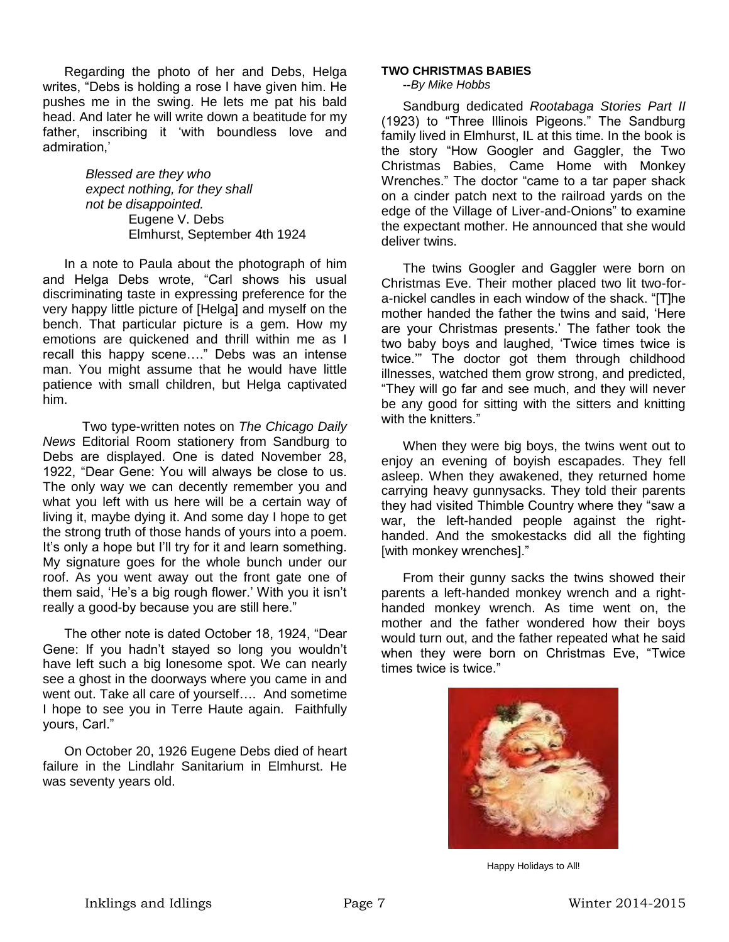Regarding the photo of her and Debs, Helga writes, "Debs is holding a rose I have given him. He pushes me in the swing. He lets me pat his bald head. And later he will write down a beatitude for my father, inscribing it 'with boundless love and admiration,'

> *Blessed are they who expect nothing, for they shall not be disappointed.* Eugene V. Debs Elmhurst, September 4th 1924

In a note to Paula about the photograph of him and Helga Debs wrote, "Carl shows his usual discriminating taste in expressing preference for the very happy little picture of [Helga] and myself on the bench. That particular picture is a gem. How my emotions are quickened and thrill within me as I recall this happy scene…." Debs was an intense man. You might assume that he would have little patience with small children, but Helga captivated him.

 Two type-written notes on *The Chicago Daily News* Editorial Room stationery from Sandburg to Debs are displayed. One is dated November 28, 1922, "Dear Gene: You will always be close to us. The only way we can decently remember you and what you left with us here will be a certain way of living it, maybe dying it. And some day I hope to get the strong truth of those hands of yours into a poem. It's only a hope but I'll try for it and learn something. My signature goes for the whole bunch under our roof. As you went away out the front gate one of them said, 'He's a big rough flower.' With you it isn't really a good-by because you are still here."

The other note is dated October 18, 1924, "Dear Gene: If you hadn't stayed so long you wouldn't have left such a big lonesome spot. We can nearly see a ghost in the doorways where you came in and went out. Take all care of yourself…. And sometime I hope to see you in Terre Haute again. Faithfully yours, Carl."

On October 20, 1926 Eugene Debs died of heart failure in the Lindlahr Sanitarium in Elmhurst. He was seventy years old.

#### **TWO CHRISTMAS BABIES**

**--***By Mike Hobbs*

Sandburg dedicated *Rootabaga Stories Part II* (1923) to "Three Illinois Pigeons." The Sandburg family lived in Elmhurst, IL at this time. In the book is the story "How Googler and Gaggler, the Two Christmas Babies, Came Home with Monkey Wrenches." The doctor "came to a tar paper shack on a cinder patch next to the railroad yards on the edge of the Village of Liver-and-Onions" to examine the expectant mother. He announced that she would deliver twins.

The twins Googler and Gaggler were born on Christmas Eve. Their mother placed two lit two-fora-nickel candles in each window of the shack. "[T]he mother handed the father the twins and said, 'Here are your Christmas presents.' The father took the two baby boys and laughed, 'Twice times twice is twice.'" The doctor got them through childhood illnesses, watched them grow strong, and predicted, "They will go far and see much, and they will never be any good for sitting with the sitters and knitting with the knitters."

When they were big boys, the twins went out to enjoy an evening of boyish escapades. They fell asleep. When they awakened, they returned home carrying heavy gunnysacks. They told their parents they had visited Thimble Country where they "saw a war, the left-handed people against the righthanded. And the smokestacks did all the fighting [with monkey wrenches]."

From their gunny sacks the twins showed their parents a left-handed monkey wrench and a righthanded monkey wrench. As time went on, the mother and the father wondered how their boys would turn out, and the father repeated what he said when they were born on Christmas Eve, "Twice times twice is twice."



Happy Holidays to All!